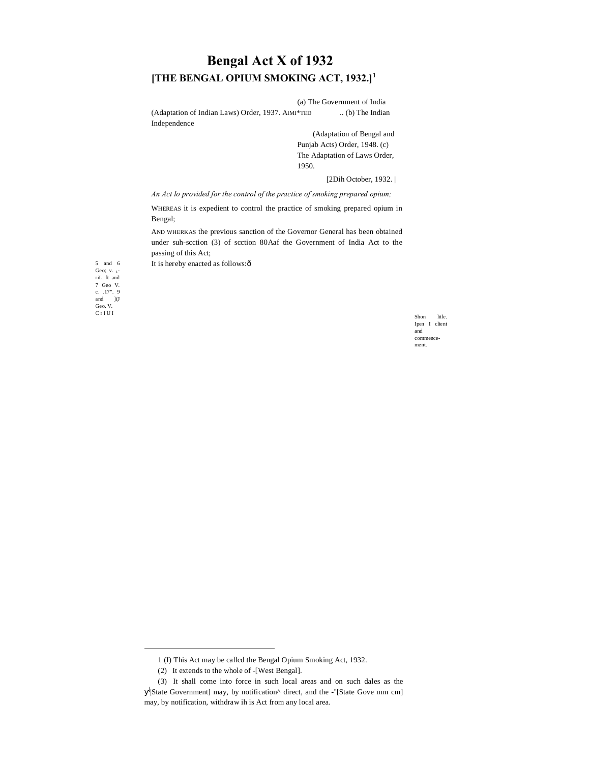# **Bengal Act X of 1932 [THE BENGAL OPIUM SMOKING ACT, 1932.]<sup>1</sup>**

(a) The Government of India (Adaptation of Indian Laws) Order, 1937. AIMI\*TED ... (b) The Indian Independence

> (Adaptation of Bengal and Punjab Acts) Order, 1948. (c) The Adaptation of Laws Order, 1950.

> > [2Dih October, 1932. |

*An Act lo provided for the control of the practice of smoking prepared opium;*

WHEREAS it is expedient to control the practice of smoking prepared opium in Bengal;

AND WHERKAS the previous sanction of the Governor General has been obtained under suh-scction (3) of scction 80Aaf the Government of India Act to the passing of this Act;

It is hereby enacted as follows: ô

5 and 6 Geo; v. <sub>L</sub>.<br>riL ft anil 7 Geo V. c. .17". 9 and ](J Geo. V.

 $C$ r l U I Shon litle. Ipen I client and commencement.

 $\overline{a}$ 

<sup>1</sup> (I) This Act may be callcd the Bengal Opium Smoking Act, 1932.

<sup>(2)</sup> It extends to the whole of -[West Bengal].

<sup>(3)</sup> It shall come into force in such local areas and on such dales as the  $\frac{1}{S}$ State Government] may, by notification<sup> $\wedge$ </sup> direct, and the -"[State Gove mm cm] may, by notification, withdraw ih is Act from any local area.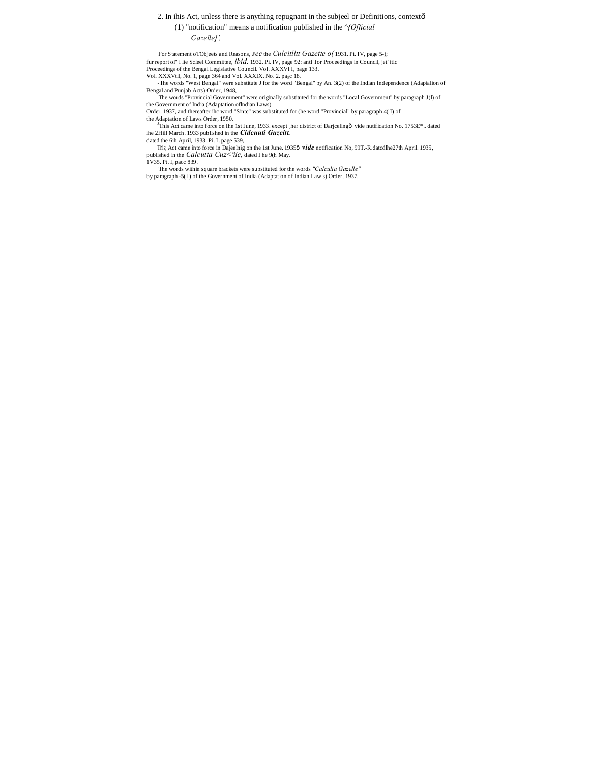#### 2. In ihis Act, unless there is anything repugnant in the subjeel or Definitions, context—

# (1) "notification" means a notification published in the *^{Official*

*Gazelle]',*

'For Statement oTObjeets and Reasons, *see* the *Culcitlltt Gazette o(* 1931. Pi. IV, page 5-); fur report ol" i lie Scleel Committee, *ibid.* 1932. Pi. IV, page 92: antl Tor Proceedings in Council, jet' itic Proceedings of the Bengal Legislative Council. Vol. XXXVI I, page 133. Vol. XXXVtll, No. 1, page 364 and Vol. XXXIX. No. 2. page 18.

-The words "West Bengal" were substitute J for the word "Bengal" by An. 3(2) of the Indian Independence (Adapialion of

Bengal and Punjab Acts) Order, 1948, 'The words "Provincial Government" were originally substituted for the words "Local Government" by paragraph J(l) of the Government of India (Adaptation oflndian Laws)

Order. 1937, and thereafter ihc word "Sintc" was substituted for (he word "Provincial" by paragraph 4( I) of

the Adaptation of Laws Order, 1950.<br><sup>J</sup>This Act came into force on Ihe 1st June, 1933. except [her district of Darjcelingô vide nutification No. 1753E<sup>\*</sup>.. dated ihe 2Hill March. 1933 published in the *Cidcuuti Guzeitt*.

dated the 6ih April, 1933. Pi. I. page 539,

This; Act came into force in Dajeelnig on the 1st June. 1935ô vide notification No, 99T.-R.datcdlhe27th April. 1935, published in the *Calcutta Cuz<'iic,* dated I he 9(h May.

1V35. Pt. I, pacc 839.

'The words within square brackets were substituted for the words *"Calculia Gazelle"* by paragraph -5( I) of the Government of India (Adaptation of Indian Law s) Order, 1937.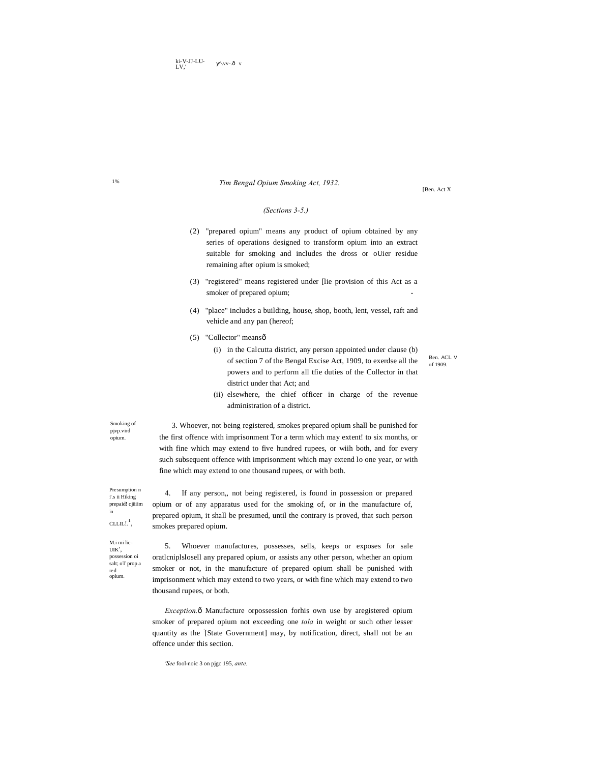[Ben. Act X

## *(Sections 3-5.)*

*Tim Bengal Opium Smoking Act, 1932.*

- (2) "prepared opium" means any product of opium obtained by any series of operations designed to transform opium into an extract suitable for smoking and includes the dross or oUier residue remaining after opium is smoked;
- (3) "registered" means registered under [lie provision of this Act as a smoker of prepared opium;
- (4) "place" includes a building, house, shop, booth, lent, vessel, raft and vehicle and any pan (hereof;
- (5) "Collector" meansô
	- (i) in the Calcutta district, any person appointed under clause (b) of section 7 of the Bengal Excise Act, 1909, to exerdse all the powers and to perform all tfie duties of the Collector in that district under that Act; and

(ii) elsewhere, the chief officer in charge of the revenue

Ben. ACL V of 1909.

Smoking of pjvp.vird

opium.

3. Whoever, not being registered, smokes prepared opium shall be punished for the first offence with imprisonment Tor a term which may extent! to six months, or with fine which may extend to five hundred rupees, or wiih both, and for every such subsequent offence with imprisonment which may extend lo one year, or with fine which may extend to one thousand rupees, or with both.

4. If any person,, not being registered, is found in possession or prepared opium or of any apparatus used for the smoking of, or in the manufacture of, prepared opium, it shall be presumed, until the contrary is proved, that such person

administration of a district.

i'.s ii Hiking prepaid! cjiiiim in  $CLLIL!.^1$ 

M.i mi lic-UIK',

red opium.

smokes prepared opium. 5. Whoever manufactures, possesses, sells, keeps or exposes for sale possession oi salt; oT prop a

oratlcniplslosell any prepared opium, or assists any other person, whether an opium smoker or not, in the manufacture of prepared opium shall be punished with imprisonment which may extend to two years, or with fine which may extend to two thousand rupees, or both.

*Exception.* $\delta$  Manufacture orpossession forhis own use by aregistered opium smoker of prepared opium not exceeding one *tola* in weight or such other lesser quantity as the : [State Government] may, by notification, direct, shall not be an offence under this section.

*'See* fool-noic 3 on pjgc 195, *ante.*

1%

Presumption n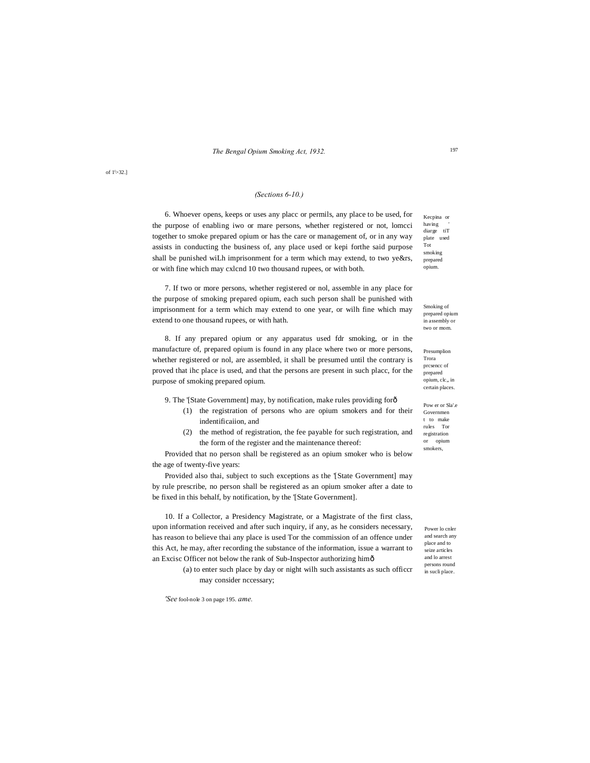<sup>197</sup> *The Bengal Opium Smoking Act, 1932.*

# *(Sections 6-10.)*

6. Whoever opens, keeps or uses any placc or permils, any place to be used, for the purpose of enabling iwo or mare persons, whether registered or not, lomcci together to smoke prepared opium or has the care or management of, or in any way assists in conducting the business of, any place used or kepi forthe said purpose shall be punished wiLh imprisonment for a term which may extend, to two ye&rs, or with fine which may cxlcnd 10 two thousand rupees, or with both.

7. If two or more persons, whether registered or nol, assemble in any place for the purpose of smoking prepared opium, each such person shall be punished with imprisonment for a term which may extend to one year, or wilh fine which may extend to one thousand rupees, or with hath.

8. If any prepared opium or any apparatus used fdr smoking, or in the manufacture of, prepared opium is found in any place where two or more persons, whether registered or nol, are assembled, it shall be presumed until the contrary is proved that ihc place is used, and that the persons are present in such placc, for the purpose of smoking prepared opium.

9. The '[State Government] may, by notification, make rules providing for  $\delta$ 

- (1) the registration of persons who are opium smokers and for their indentificaiion, and
- (2) the method of registration, the fee payable for such registration, and the form of the register and the maintenance thereof:

Provided that no person shall be registered as an opium smoker who is below the age of twenty-five years:

Provided also thai, subject to such exceptions as the '[State Government] may by rule prescribe, no person shall be registered as an opium smoker after a date to be fixed in this behalf, by notification, by the '[State Government].

10. If a Collector, a Presidency Magistrate, or a Magistrate of the first class, upon information received and after such inquiry, if any, as he considers necessary, has reason to believe thai any place is used Tor the commission of an offence under this Act, he may, after recording the substance of the information, issue a warrant to an Excisc Officer not below the rank of Sub-Inspector authorizing him—

> (a) to enter such place by day or night wilh such assistants as such officcr may consider nccessary;

*'See* fool-nole 3 on page 195. *ame.*

Kecpina or having ' diarge tiT plate used Tot smoking prepared opium.

Smoking of prepared opium in assembly or two or mom.

Presumplion Trora prcsencc of prepared opium, clc,, in certain places.

Pow er or Sla'.e Governmen t to make rules Tor registration or opium smokers,

Power lo cnler and search any place and to seize articles and lo arrest persons round in sucli place.

of 1<sup>\</sup>>32.]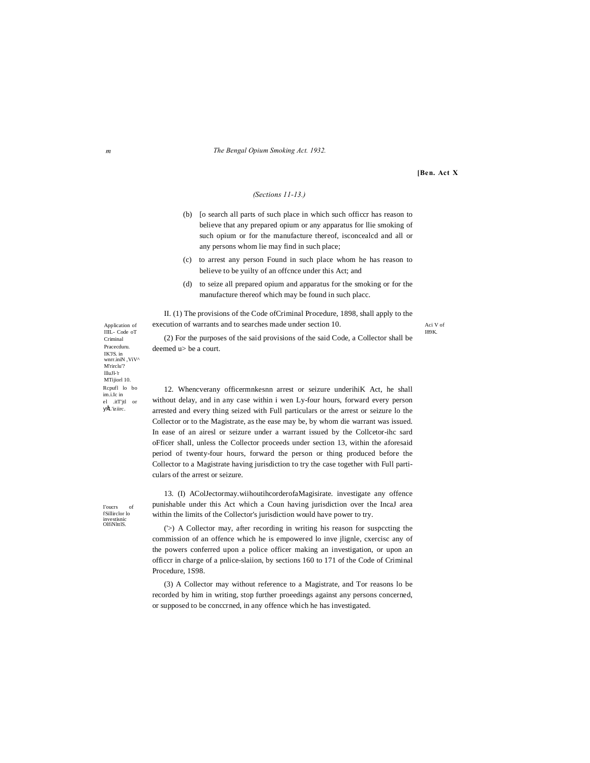#### *m The Bengal Opium Smoking Act. 1932.*

**[Ben. Act X**

# *(Sections 11-13.)*

- (b) [o search all parts of such place in which such officcr has reason to believe that any prepared opium or any apparatus for llie smoking of such opium or for the manufacture thereof, isconcealcd and all or any persons whom lie may find in such place;
- (c) to arrest any person Found in such place whom he has reason to believe to be yuilty of an offcnce under this Act; and
- (d) to seize all prepared opium and apparatus for the smoking or for the manufacture thereof which may be found in such placc.

II. (1) The provisions of the Code ofCriminal Procedure, 1898, shall apply to the execution of warrants and to searches made under section 10.

Aci V of I89K.

(2) For the purposes of the said provisions of the said Code, a Collector shall be deemed u> be a court.

12. Whencverany officermnkesnn arrest or seizure underihiK Act, he shall without delay, and in any case within i wen Ly-four hours, forward every person arrested and every thing seized with Full particulars or the arrest or seizure lo the Collector or to the Magistrate, as the ease may be, by whom die warrant was issued. In ease of an airesl or seizure under a warrant issued by the Collcetor-ihc sard oFficer shall, unless the Collector proceeds under section 13, within the aforesaid period of twenty-four hours, forward the person or thing produced before the Collector to a Magistrate having jurisdiction to try the case together with Full particulars of the arrest or seizure.

13. (I) AColJectormay.wiihoutihcorderofaMagisirate. investigate any offence punishable under this Act which a Coun having jurisdiction over the IncaJ area within the limits of the Collector's jurisdiction would have power to try.

('>) A Collector may, after recording in writing his reason for suspccting the commission of an offence which he is empowered lo inve jlignle, cxercisc any of the powers conferred upon a police officer making an investigation, or upon an officcr in charge of a pnlice-slaiion, by sections 160 to 171 of the Code of Criminal Procedure, 1S98.

(3) A Collector may without reference to a Magistrate, and Tor reasons lo be recorded by him in writing, stop further proeedings against any persons concerned, or supposed to be conccrned, in any offence which he has investigated.

Application of  $III - Code of$ Criminal Pracecduru. IK'JS. in wnrr.iniN ,ViV^ M'rirclu'? llluJl-'r MTijiorl 10. Rcpufl lo bo im.i.Ic in el .itT'jtl or •L'iziirc.

I'oucrs of fSillirclor lo investisnic OlfiNlttlS.